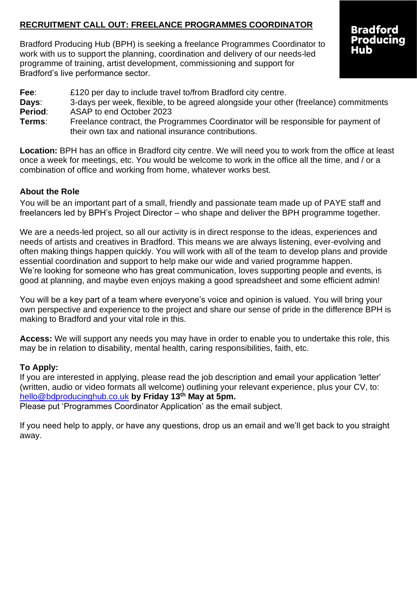# **RECRUITMENT CALL OUT: FREELANCE PROGRAMMES COORDINATOR**

Bradford Producing Hub (BPH) is seeking a freelance Programmes Coordinator to work with us to support the planning, coordination and delivery of our needs-led programme of training, artist development, commissioning and support for Bradford's live performance sector.

# **Bradford Producing** Hub

**Fee:** £120 per day to include travel to/from Bradford city centre.

- **Days**: 3-days per week, flexible, to be agreed alongside your other (freelance) commitments
- **Period**: ASAP to end October 2023
- **Terms**: Freelance contract, the Programmes Coordinator will be responsible for payment of their own tax and national insurance contributions.

**Location:** BPH has an office in Bradford city centre. We will need you to work from the office at least once a week for meetings, etc. You would be welcome to work in the office all the time, and / or a combination of office and working from home, whatever works best.

# **About the Role**

You will be an important part of a small, friendly and passionate team made up of PAYE staff and freelancers led by BPH's Project Director – who shape and deliver the BPH programme together.

We are a needs-led project, so all our activity is in direct response to the ideas, experiences and needs of artists and creatives in Bradford. This means we are always listening, ever-evolving and often making things happen quickly. You will work with all of the team to develop plans and provide essential coordination and support to help make our wide and varied programme happen. We're looking for someone who has great communication, loves supporting people and events, is good at planning, and maybe even enjoys making a good spreadsheet and some efficient admin!

You will be a key part of a team where everyone's voice and opinion is valued. You will bring your own perspective and experience to the project and share our sense of pride in the difference BPH is making to Bradford and your vital role in this.

**Access:** We will support any needs you may have in order to enable you to undertake this role, this may be in relation to disability, mental health, caring responsibilities, faith, etc.

# **To Apply:**

If you are interested in applying, please read the job description and email your application 'letter' (written, audio or video formats all welcome) outlining your relevant experience, plus your CV, to: [hello@bdproducinghub.co.uk](mailto:hello@bdproducinghub.co.uk) **by Friday 13th May at 5pm.**

Please put 'Programmes Coordinator Application' as the email subject.

If you need help to apply, or have any questions, drop us an email and we'll get back to you straight away.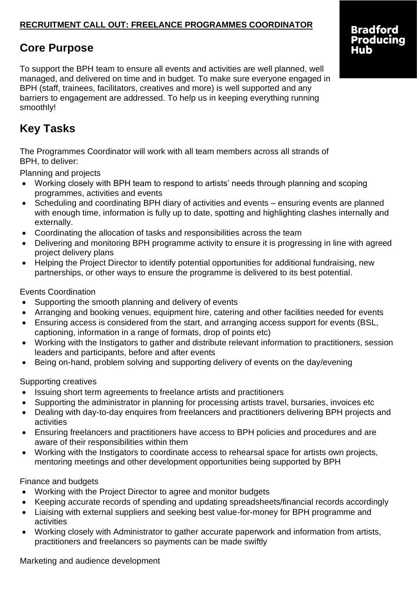# **RECRUITMENT CALL OUT: FREELANCE PROGRAMMES COORDINATOR**

# **Core Purpose**

To support the BPH team to ensure all events and activities are well planned, well managed, and delivered on time and in budget. To make sure everyone engaged in BPH (staff, trainees, facilitators, creatives and more) is well supported and any barriers to engagement are addressed. To help us in keeping everything running smoothly!

# **Key Tasks**

The Programmes Coordinator will work with all team members across all strands of BPH, to deliver:

Planning and projects

- Working closely with BPH team to respond to artists' needs through planning and scoping programmes, activities and events
- Scheduling and coordinating BPH diary of activities and events ensuring events are planned with enough time, information is fully up to date, spotting and highlighting clashes internally and externally.
- Coordinating the allocation of tasks and responsibilities across the team
- Delivering and monitoring BPH programme activity to ensure it is progressing in line with agreed project delivery plans
- Helping the Project Director to identify potential opportunities for additional fundraising, new partnerships, or other ways to ensure the programme is delivered to its best potential.

Events Coordination

- Supporting the smooth planning and delivery of events
- Arranging and booking venues, equipment hire, catering and other facilities needed for events
- Ensuring access is considered from the start, and arranging access support for events (BSL, captioning, information in a range of formats, drop of points etc)
- Working with the Instigators to gather and distribute relevant information to practitioners, session leaders and participants, before and after events
- Being on-hand, problem solving and supporting delivery of events on the day/evening

### Supporting creatives

- Issuing short term agreements to freelance artists and practitioners
- Supporting the administrator in planning for processing artists travel, bursaries, invoices etc
- Dealing with day-to-day enquires from freelancers and practitioners delivering BPH projects and activities
- Ensuring freelancers and practitioners have access to BPH policies and procedures and are aware of their responsibilities within them
- Working with the Instigators to coordinate access to rehearsal space for artists own projects, mentoring meetings and other development opportunities being supported by BPH

# Finance and budgets

- Working with the Project Director to agree and monitor budgets
- Keeping accurate records of spending and updating spreadsheets/financial records accordingly
- Liaising with external suppliers and seeking best value-for-money for BPH programme and activities
- Working closely with Administrator to gather accurate paperwork and information from artists, practitioners and freelancers so payments can be made swiftly

Marketing and audience development

# **Bradford** Producing Hub